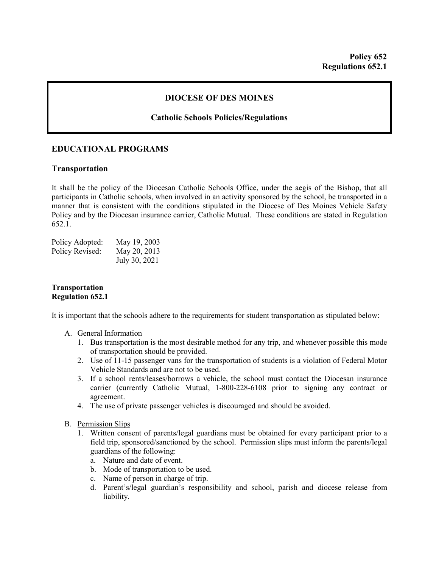## **DIOCESE OF DES MOINES**

## **Catholic Schools Policies/Regulations**

## **EDUCATIONAL PROGRAMS**

### **Transportation**

It shall be the policy of the Diocesan Catholic Schools Office, under the aegis of the Bishop, that all participants in Catholic schools, when involved in an activity sponsored by the school, be transported in a manner that is consistent with the conditions stipulated in the Diocese of Des Moines Vehicle Safety Policy and by the Diocesan insurance carrier, Catholic Mutual. These conditions are stated in Regulation 652.1.

| Policy Adopted: | May 19, 2003  |
|-----------------|---------------|
| Policy Revised: | May 20, 2013  |
|                 | July 30, 2021 |

### **Transportation Regulation 652.1**

It is important that the schools adhere to the requirements for student transportation as stipulated below:

#### A. General Information

- 1. Bus transportation is the most desirable method for any trip, and whenever possible this mode of transportation should be provided.
- 2. Use of 11-15 passenger vans for the transportation of students is a violation of Federal Motor Vehicle Standards and are not to be used.
- 3. If a school rents/leases/borrows a vehicle, the school must contact the Diocesan insurance carrier (currently Catholic Mutual, 1-800-228-6108 prior to signing any contract or agreement.
- 4. The use of private passenger vehicles is discouraged and should be avoided.

#### B. Permission Slips

- 1. Written consent of parents/legal guardians must be obtained for every participant prior to a field trip, sponsored/sanctioned by the school. Permission slips must inform the parents/legal guardians of the following:
	- a. Nature and date of event.
	- b. Mode of transportation to be used.
	- c. Name of person in charge of trip.
	- d. Parent's/legal guardian's responsibility and school, parish and diocese release from liability.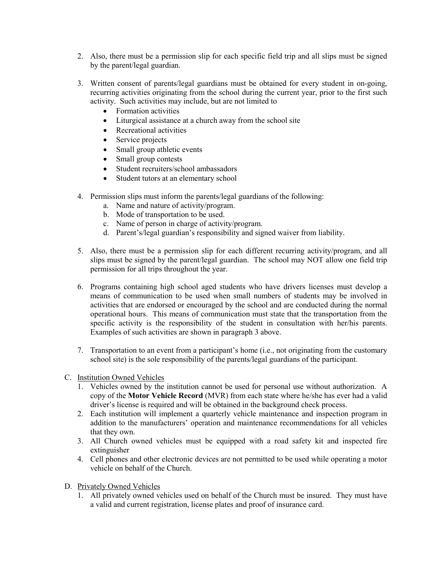- 2. Also, there must be a permission slip for each specific field trip and all slips must be signed by the parent/legal guardian.
- 3. Written consent of parents/legal guardians must be obtained for every student in on-going, recurring activities originating from the school during the current year, prior to the first such activity. Such activities may include, but are not limited to
	- Formation activities
	- Liturgical assistance at a church away from the school site
	- Recreational activities
	- Service projects
	- Small group athletic events
	- Small group contests
	- Student recruiters/school ambassadors
	- Student tutors at an elementary school
- 4. Permission slips must inform the parents/legal guardians of the following:
	- a. Name and nature of activity/program.
	- b. Mode of transportation to be used.
	- c. Name of person in charge of activity/program.
	- d. Parent's/legal guardian's responsibility and signed waiver from liability.
- 5. Also, there must be a permission slip for each different recurring activity/program, and all slips must be signed by the parent/legal guardian. The school may NOT allow one field trip permission for all trips throughout the year.
- 6. Programs containing high school aged students who have drivers licenses must develop a means of communication to be used when small numbers of students may be involved in activities that are endorsed or encouraged by the school and are conducted during the normal operational hours. This means of communication must state that the transportation from the specific activity is the responsibility of the student in consultation with her/his parents. Examples of such activities are shown in paragraph 3 above.
- 7. Transportation to an event from a participant's home (i.e., not originating from the customary school site) is the sole responsibility of the parents/legal guardians of the participant.
- C. Institution Owned Vehicles
	- 1. Vehicles owned by the institution cannot be used for personal use without authorization. A copy of the **Motor Vehicle Record** (MVR) from each state where he/she has ever had a valid driver's license is required and will be obtained in the background check process.
	- 2. Each institution will implement a quarterly vehicle maintenance and inspection program in addition to the manufacturers' operation and maintenance recommendations for all vehicles that they own.
	- 3. All Church owned vehicles must be equipped with a road safety kit and inspected fire extinguisher
	- 4. Cell phones and other electronic devices are not permitted to be used while operating a motor vehicle on behalf of the Church.
- D. Privately Owned Vehicles
	- 1. All privately owned vehicles used on behalf of the Church must be insured. They must have a valid and current registration, license plates and proof of insurance card.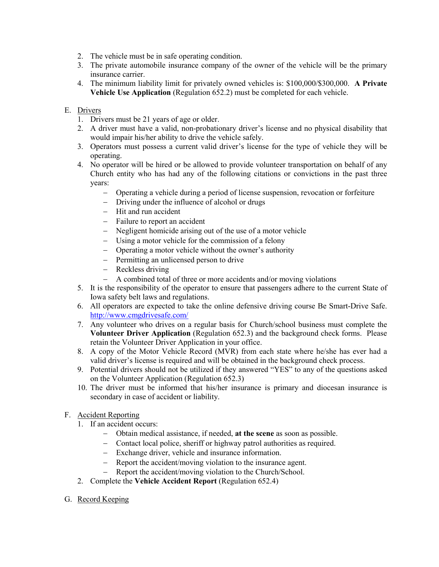- 2. The vehicle must be in safe operating condition.
- 3. The private automobile insurance company of the owner of the vehicle will be the primary insurance carrier.
- 4. The minimum liability limit for privately owned vehicles is: \$100,000/\$300,000. **A Private Vehicle Use Application** (Regulation 652.2) must be completed for each vehicle.

# E. Drivers

- 1. Drivers must be 21 years of age or older.
- 2. A driver must have a valid, non-probationary driver's license and no physical disability that would impair his/her ability to drive the vehicle safely.
- 3. Operators must possess a current valid driver's license for the type of vehicle they will be operating.
- 4. No operator will be hired or be allowed to provide volunteer transportation on behalf of any Church entity who has had any of the following citations or convictions in the past three years:
	- − Operating a vehicle during a period of license suspension, revocation or forfeiture
	- − Driving under the influence of alcohol or drugs
	- − Hit and run accident
	- − Failure to report an accident
	- − Negligent homicide arising out of the use of a motor vehicle
	- − Using a motor vehicle for the commission of a felony
	- − Operating a motor vehicle without the owner's authority
	- − Permitting an unlicensed person to drive
	- − Reckless driving
	- − A combined total of three or more accidents and/or moving violations
- 5. It is the responsibility of the operator to ensure that passengers adhere to the current State of Iowa safety belt laws and regulations.
- 6. All operators are expected to take the online defensive driving course Be Smart-Drive Safe. <http://www.cmgdrivesafe.com/>
- 7. Any volunteer who drives on a regular basis for Church/school business must complete the **Volunteer Driver Application** (Regulation 652.3) and the background check forms. Please retain the Volunteer Driver Application in your office.
- 8. A copy of the Motor Vehicle Record (MVR) from each state where he/she has ever had a valid driver's license is required and will be obtained in the background check process.
- 9. Potential drivers should not be utilized if they answered "YES" to any of the questions asked on the Volunteer Application (Regulation 652.3)
- 10. The driver must be informed that his/her insurance is primary and diocesan insurance is secondary in case of accident or liability.
- F. Accident Reporting
	- 1. If an accident occurs:
		- − Obtain medical assistance, if needed, **at the scene** as soon as possible.
		- − Contact local police, sheriff or highway patrol authorities as required.
		- − Exchange driver, vehicle and insurance information.
		- − Report the accident/moving violation to the insurance agent.
		- − Report the accident/moving violation to the Church/School.
	- 2. Complete the **Vehicle Accident Report** (Regulation 652.4)
- G. Record Keeping